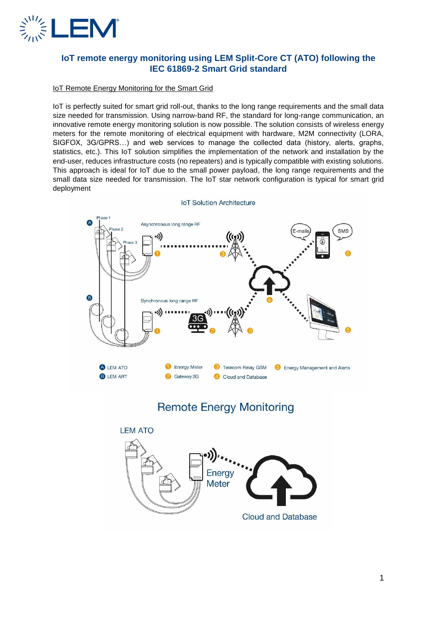

## **IoT remote energy monitoring using LEM Split-Core CT (ATO) following the IEC 61869-2 Smart Grid standard**

### IoT Remote Energy Monitoring for the Smart Grid

IoT is perfectly suited for smart grid roll-out, thanks to the long range requirements and the small data size needed for transmission. Using narrow-band RF, the standard for long-range communication, an innovative remote energy monitoring solution is now possible. The solution consists of wireless energy meters for the remote monitoring of electrical equipment with hardware, M2M connectivity (LORA, SIGFOX, 3G/GPRS…) and web services to manage the collected data (history, alerts, graphs, statistics, etc.). This IoT solution simplifies the implementation of the network and installation by the end-user, reduces infrastructure costs (no repeaters) and is typically compatible with existing solutions. This approach is ideal for IoT due to the small power payload, the long range requirements and the small data size needed for transmission. The IoT star network configuration is typical for smart grid deployment



**IoT Solution Architecture** 

# **Remote Energy Monitoring**

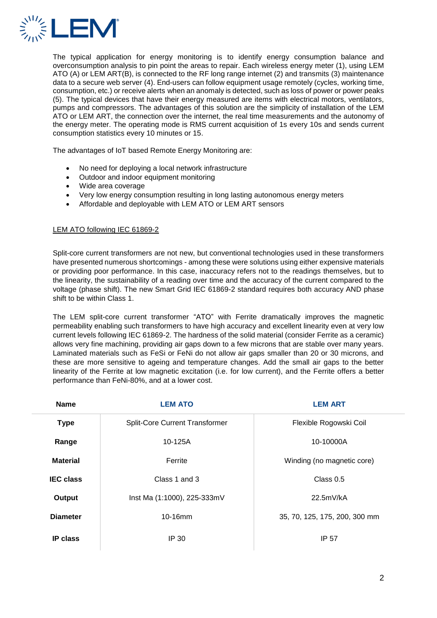

The typical application for energy monitoring is to identify energy consumption balance and overconsumption analysis to pin point the areas to repair. Each wireless energy meter (1), using LEM ATO (A) or LEM ART(B), is connected to the RF long range internet (2) and transmits (3) maintenance data to a secure web server (4). End-users can follow equipment usage remotely (cycles, working time, consumption, etc.) or receive alerts when an anomaly is detected, such as loss of power or power peaks (5). The typical devices that have their energy measured are items with electrical motors, ventilators, pumps and compressors. The advantages of this solution are the simplicity of installation of the LEM ATO or LEM ART, the connection over the internet, the real time measurements and the autonomy of the energy meter. The operating mode is RMS current acquisition of 1s every 10s and sends current consumption statistics every 10 minutes or 15.

The advantages of IoT based Remote Energy Monitoring are:

- No need for deploying a local network infrastructure
- Outdoor and indoor equipment monitoring
- Wide area coverage
- Very low energy consumption resulting in long lasting autonomous energy meters
- Affordable and deployable with LEM ATO or LEM ART sensors

#### LEM ATO following IEC 61869-2

Split-core current transformers are not new, but conventional technologies used in these transformers have presented numerous shortcomings - among these were solutions using either expensive materials or providing poor performance. In this case, inaccuracy refers not to the readings themselves, but to the linearity, the sustainability of a reading over time and the accuracy of the current compared to the voltage (phase shift). The new Smart Grid IEC 61869-2 standard requires both accuracy AND phase shift to be within Class 1.

The LEM split-core current transformer "ATO" with Ferrite dramatically improves the magnetic permeability enabling such transformers to have high accuracy and excellent linearity even at very low current levels following IEC 61869-2. The hardness of the solid material (consider Ferrite as a ceramic) allows very fine machining, providing air gaps down to a few microns that are stable over many years. Laminated materials such as FeSi or FeNi do not allow air gaps smaller than 20 or 30 microns, and these are more sensitive to ageing and temperature changes. Add the small air gaps to the better linearity of the Ferrite at low magnetic excitation (i.e. for low current), and the Ferrite offers a better performance than FeNi-80%, and at a lower cost.

| <b>Name</b>      | <b>LEM ATO</b>                        | <b>LEM ART</b>                |
|------------------|---------------------------------------|-------------------------------|
| <b>Type</b>      | <b>Split-Core Current Transformer</b> | Flexible Rogowski Coil        |
| Range            | 10-125A                               | 10-10000A                     |
| <b>Material</b>  | Ferrite                               | Winding (no magnetic core)    |
| <b>IEC</b> class | Class 1 and 3                         | Class 0.5                     |
| Output           | Inst Ma (1:1000), 225-333mV           | 22.5mV/kA                     |
| <b>Diameter</b>  | $10-16$ mm                            | 35, 70, 125, 175, 200, 300 mm |
| <b>IP class</b>  | IP 30                                 | IP 57                         |